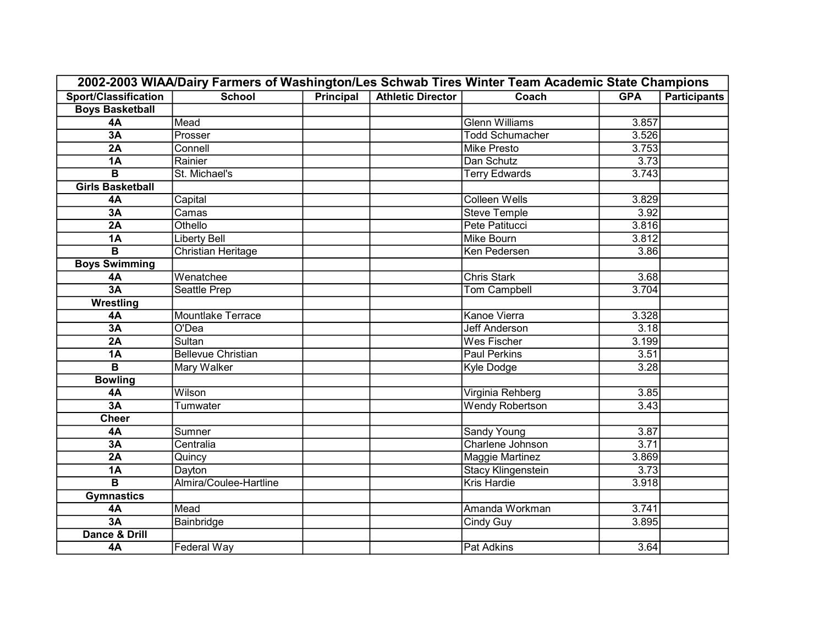| 2002-2003 WIAA/Dairy Farmers of Washington/Les Schwab Tires Winter Team Academic State Champions |                           |                  |                          |                           |            |                     |  |
|--------------------------------------------------------------------------------------------------|---------------------------|------------------|--------------------------|---------------------------|------------|---------------------|--|
| <b>Sport/Classification</b>                                                                      | <b>School</b>             | <b>Principal</b> | <b>Athletic Director</b> | Coach                     | <b>GPA</b> | <b>Participants</b> |  |
| <b>Boys Basketball</b>                                                                           |                           |                  |                          |                           |            |                     |  |
| 4A                                                                                               | Mead                      |                  |                          | <b>Glenn Williams</b>     | 3.857      |                     |  |
| 3A                                                                                               | Prosser                   |                  |                          | <b>Todd Schumacher</b>    | 3.526      |                     |  |
| 2A                                                                                               | Connell                   |                  |                          | <b>Mike Presto</b>        | 3.753      |                     |  |
| <b>1A</b>                                                                                        | Rainier                   |                  |                          | Dan Schutz                | 3.73       |                     |  |
| B                                                                                                | St. Michael's             |                  |                          | <b>Terry Edwards</b>      | 3.743      |                     |  |
| <b>Girls Basketball</b>                                                                          |                           |                  |                          |                           |            |                     |  |
| 4A                                                                                               | Capital                   |                  |                          | <b>Colleen Wells</b>      | 3.829      |                     |  |
| 3A                                                                                               | Camas                     |                  |                          | <b>Steve Temple</b>       | 3.92       |                     |  |
| 2A                                                                                               | Othello                   |                  |                          | Pete Patitucci            | 3.816      |                     |  |
| <b>1A</b>                                                                                        | <b>Liberty Bell</b>       |                  |                          | <b>Mike Bourn</b>         | 3.812      |                     |  |
| $\overline{\mathbf{B}}$                                                                          | <b>Christian Heritage</b> |                  |                          | Ken Pedersen              | 3.86       |                     |  |
| <b>Boys Swimming</b>                                                                             |                           |                  |                          |                           |            |                     |  |
| <b>4A</b>                                                                                        | Wenatchee                 |                  |                          | <b>Chris Stark</b>        | 3.68       |                     |  |
| 3A                                                                                               | <b>Seattle Prep</b>       |                  |                          | <b>Tom Campbell</b>       | 3.704      |                     |  |
| <b>Wrestling</b>                                                                                 |                           |                  |                          |                           |            |                     |  |
| 4A                                                                                               | <b>Mountlake Terrace</b>  |                  |                          | <b>Kanoe Vierra</b>       | 3.328      |                     |  |
| 3A                                                                                               | O'Dea                     |                  |                          | <b>Jeff Anderson</b>      | 3.18       |                     |  |
| 2A                                                                                               | <b>Sultan</b>             |                  |                          | <b>Wes Fischer</b>        | 3.199      |                     |  |
| 1A                                                                                               | <b>Bellevue Christian</b> |                  |                          | <b>Paul Perkins</b>       | 3.51       |                     |  |
| B                                                                                                | Mary Walker               |                  |                          | Kyle Dodge                | 3.28       |                     |  |
| <b>Bowling</b>                                                                                   |                           |                  |                          |                           |            |                     |  |
| 4A                                                                                               | Wilson                    |                  |                          | Virginia Rehberg          | 3.85       |                     |  |
| 3A                                                                                               | Tumwater                  |                  |                          | <b>Wendy Robertson</b>    | 3.43       |                     |  |
| <b>Cheer</b>                                                                                     |                           |                  |                          |                           |            |                     |  |
| 4A                                                                                               | Sumner                    |                  |                          | <b>Sandy Young</b>        | 3.87       |                     |  |
| 3A                                                                                               | Centralia                 |                  |                          | Charlene Johnson          | 3.71       |                     |  |
| 2A                                                                                               | Quincy                    |                  |                          | <b>Maggie Martinez</b>    | 3.869      |                     |  |
| <b>1A</b>                                                                                        | Dayton                    |                  |                          | <b>Stacy Klingenstein</b> | 3.73       |                     |  |
| $\overline{\mathbf{B}}$                                                                          | Almira/Coulee-Hartline    |                  |                          | <b>Kris Hardie</b>        | 3.918      |                     |  |
| <b>Gymnastics</b>                                                                                |                           |                  |                          |                           |            |                     |  |
| 4A                                                                                               | Mead                      |                  |                          | Amanda Workman            | 3.741      |                     |  |
| 3A                                                                                               | Bainbridge                |                  |                          | <b>Cindy Guy</b>          | 3.895      |                     |  |
| <b>Dance &amp; Drill</b>                                                                         |                           |                  |                          |                           |            |                     |  |
| 4A                                                                                               | Federal Way               |                  |                          | Pat Adkins                | 3.64       |                     |  |